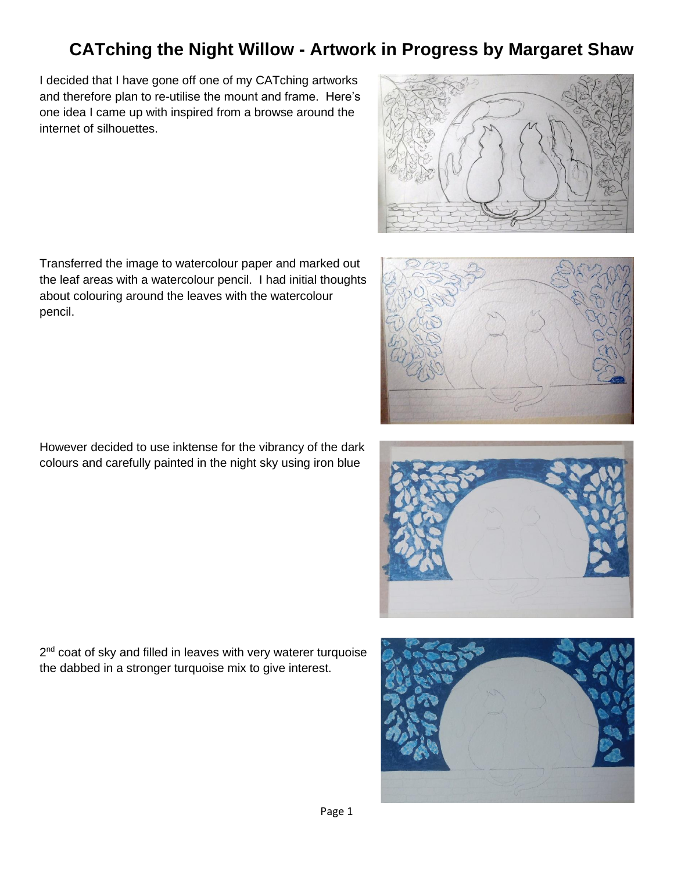## **CATching the Night Willow - Artwork in Progress by Margaret Shaw**

I decided that I have gone off one of my CATching artworks and therefore plan to re-utilise the mount and frame. Here's one idea I came up with inspired from a browse around the internet of silhouettes.

Transferred the image to watercolour paper and marked out the leaf areas with a watercolour pencil. I had initial thoughts about colouring around the leaves with the watercolour pencil.

However decided to use inktense for the vibrancy of the dark colours and carefully painted in the night sky using iron blue

2<sup>nd</sup> coat of sky and filled in leaves with very waterer turquoise the dabbed in a stronger turquoise mix to give interest.







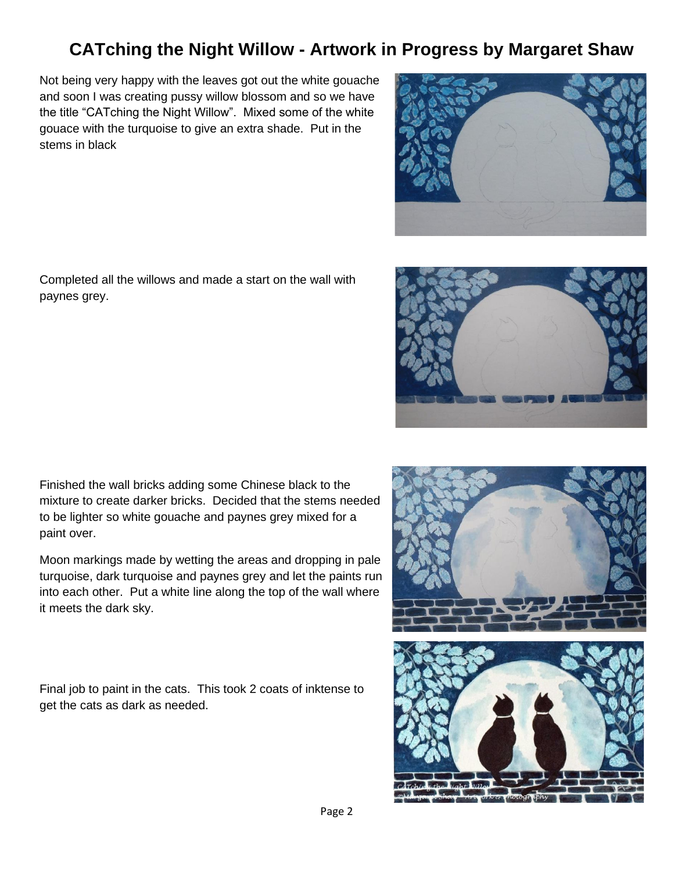## **CATching the Night Willow - Artwork in Progress by Margaret Shaw**

Not being very happy with the leaves got out the white gouache and soon I was creating pussy willow blossom and so we have the title "CATching the Night Willow". Mixed some of the white gouace with the turquoise to give an extra shade. Put in the stems in black

Completed all the willows and made a start on the wall with paynes grey.

Finished the wall bricks adding some Chinese black to the mixture to create darker bricks. Decided that the stems needed to be lighter so white gouache and paynes grey mixed for a paint over.

Moon markings made by wetting the areas and dropping in pale turquoise, dark turquoise and paynes grey and let the paints run into each other. Put a white line along the top of the wall where it meets the dark sky.

Final job to paint in the cats. This took 2 coats of inktense to get the cats as dark as needed.